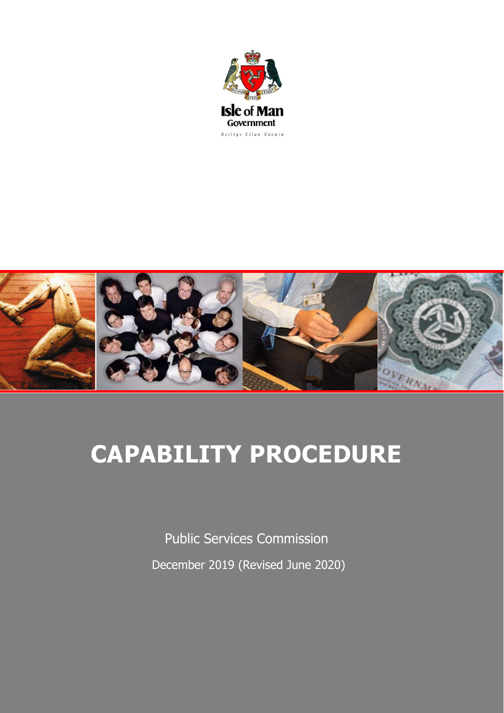



# **CAPABILITY PROCEDURE**

Public Services Commission December 2019 (Revised June 2020)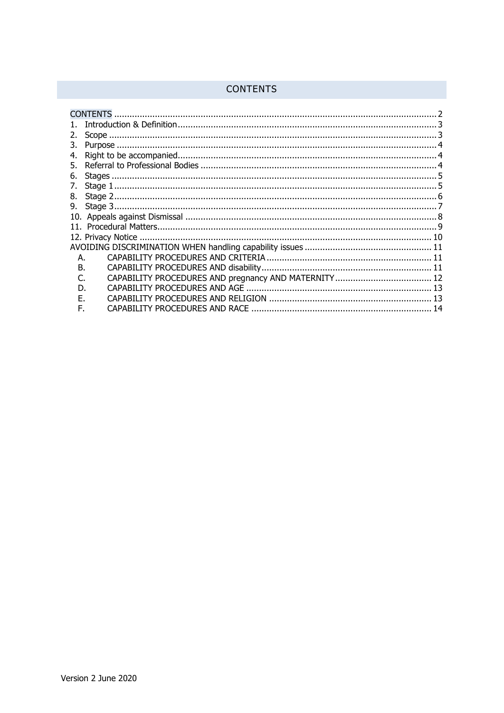# <span id="page-1-0"></span>**CONTENTS**

| <b>CONTENTS</b> |  |  |
|-----------------|--|--|
|                 |  |  |
| 2.              |  |  |
|                 |  |  |
| 4.              |  |  |
|                 |  |  |
| 6.              |  |  |
|                 |  |  |
|                 |  |  |
|                 |  |  |
|                 |  |  |
|                 |  |  |
|                 |  |  |
|                 |  |  |
| А.              |  |  |
| B.              |  |  |
|                 |  |  |
| D.              |  |  |
| F               |  |  |
| F.              |  |  |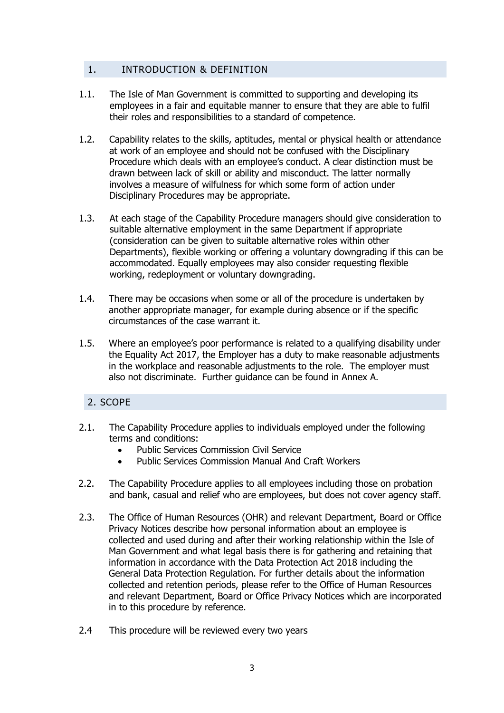# <span id="page-2-0"></span>1. INTRODUCTION & DEFINITION

- 1.1. The Isle of Man Government is committed to supporting and developing its employees in a fair and equitable manner to ensure that they are able to fulfil their roles and responsibilities to a standard of competence.
- 1.2. Capability relates to the skills, aptitudes, mental or physical health or attendance at work of an employee and should not be confused with the Disciplinary Procedure which deals with an employee's conduct. A clear distinction must be drawn between lack of skill or ability and misconduct. The latter normally involves a measure of wilfulness for which some form of action under Disciplinary Procedures may be appropriate.
- 1.3. At each stage of the Capability Procedure managers should give consideration to suitable alternative employment in the same Department if appropriate (consideration can be given to suitable alternative roles within other Departments), flexible working or offering a voluntary downgrading if this can be accommodated. Equally employees may also consider requesting flexible working, redeployment or voluntary downgrading.
- 1.4. There may be occasions when some or all of the procedure is undertaken by another appropriate manager, for example during absence or if the specific circumstances of the case warrant it.
- 1.5. Where an employee's poor performance is related to a qualifying disability under the Equality Act 2017, the Employer has a duty to make reasonable adjustments in the workplace and reasonable adjustments to the role. The employer must also not discriminate. Further guidance can be found in Annex A.

# <span id="page-2-1"></span>2. SCOPE

- 2.1. The Capability Procedure applies to individuals employed under the following terms and conditions:
	- Public Services Commission Civil Service
	- Public Services Commission Manual And Craft Workers
- 2.2. The Capability Procedure applies to all employees including those on probation and bank, casual and relief who are employees, but does not cover agency staff.
- 2.3. The Office of Human Resources (OHR) and relevant Department, Board or Office Privacy Notices describe how personal information about an employee is collected and used during and after their working relationship within the Isle of Man Government and what legal basis there is for gathering and retaining that information in accordance with the Data Protection Act 2018 including the General Data Protection Regulation. For further details about the information collected and retention periods, please refer to the Office of Human Resources and relevant Department, Board or Office Privacy Notices which are incorporated in to this procedure by reference.
- 2.4 This procedure will be reviewed every two years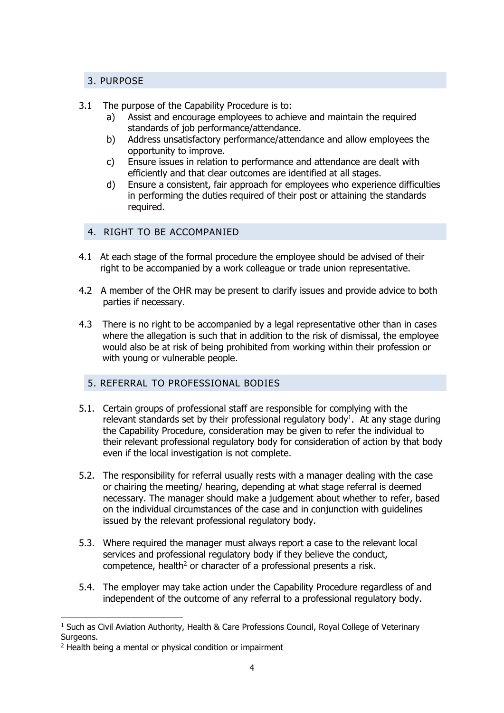# <span id="page-3-0"></span>3. PURPOSE

# 3.1 The purpose of the Capability Procedure is to:

- a) Assist and encourage employees to achieve and maintain the required standards of job performance/attendance.
- b) Address unsatisfactory performance/attendance and allow employees the opportunity to improve.
- c) Ensure issues in relation to performance and attendance are dealt with efficiently and that clear outcomes are identified at all stages.
- d) Ensure a consistent, fair approach for employees who experience difficulties in performing the duties required of their post or attaining the standards required.

# <span id="page-3-1"></span>4. RIGHT TO BE ACCOMPANIED

- 4.1 At each stage of the formal procedure the employee should be advised of their right to be accompanied by a work colleague or trade union representative.
- 4.2 A member of the OHR may be present to clarify issues and provide advice to both parties if necessary.
- 4.3 There is no right to be accompanied by a legal representative other than in cases where the allegation is such that in addition to the risk of dismissal, the employee would also be at risk of being prohibited from working within their profession or with young or vulnerable people.

# <span id="page-3-2"></span>5. REFERRAL TO PROFESSIONAL BODIES

- 5.1. Certain groups of professional staff are responsible for complying with the relevant standards set by their professional regulatory body<sup>1</sup>. At any stage during the Capability Procedure, consideration may be given to refer the individual to their relevant professional regulatory body for consideration of action by that body even if the local investigation is not complete.
- 5.2. The responsibility for referral usually rests with a manager dealing with the case or chairing the meeting/ hearing, depending at what stage referral is deemed necessary. The manager should make a judgement about whether to refer, based on the individual circumstances of the case and in conjunction with guidelines issued by the relevant professional regulatory body.
- 5.3. Where required the manager must always report a case to the relevant local services and professional regulatory body if they believe the conduct, competence, health<sup>2</sup> or character of a professional presents a risk.
- 5.4. The employer may take action under the Capability Procedure regardless of and independent of the outcome of any referral to a professional regulatory body.

-

<sup>&</sup>lt;sup>1</sup> Such as Civil Aviation Authority, Health & Care Professions Council, Royal College of Veterinary Surgeons.

<sup>&</sup>lt;sup>2</sup> Health being a mental or physical condition or impairment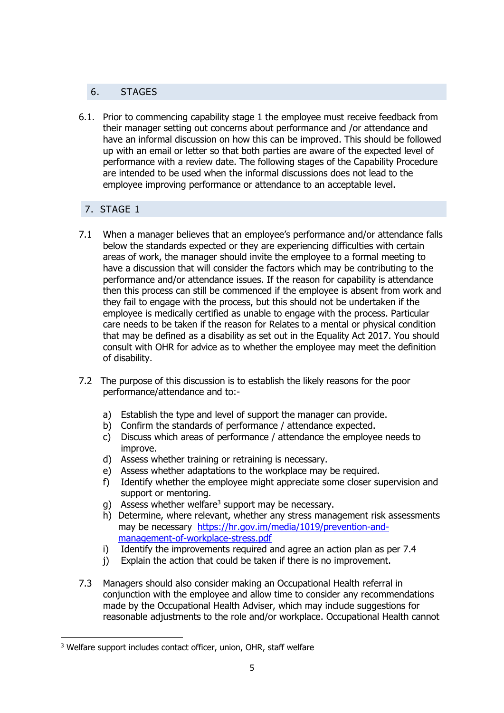# <span id="page-4-0"></span>6. STAGES

6.1. Prior to commencing capability stage 1 the employee must receive feedback from their manager setting out concerns about performance and /or attendance and have an informal discussion on how this can be improved. This should be followed up with an email or letter so that both parties are aware of the expected level of performance with a review date. The following stages of the Capability Procedure are intended to be used when the informal discussions does not lead to the employee improving performance or attendance to an acceptable level.

# <span id="page-4-1"></span>7. STAGE 1

- 7.1 When a manager believes that an employee's performance and/or attendance falls below the standards expected or they are experiencing difficulties with certain areas of work, the manager should invite the employee to a formal meeting to have a discussion that will consider the factors which may be contributing to the performance and/or attendance issues. If the reason for capability is attendance then this process can still be commenced if the employee is absent from work and they fail to engage with the process, but this should not be undertaken if the employee is medically certified as unable to engage with the process. Particular care needs to be taken if the reason for Relates to a mental or physical condition that may be defined as a disability as set out in the Equality Act 2017. You should consult with OHR for advice as to whether the employee may meet the definition of disability.
- 7.2 The purpose of this discussion is to establish the likely reasons for the poor performance/attendance and to:
	- a) Establish the type and level of support the manager can provide.
	- b) Confirm the standards of performance / attendance expected.
	- c) Discuss which areas of performance / attendance the employee needs to improve.
	- d) Assess whether training or retraining is necessary.
	- e) Assess whether adaptations to the workplace may be required.
	- f) Identify whether the employee might appreciate some closer supervision and support or mentoring.
	- g) Assess whether welfare<sup>3</sup> support may be necessary.
	- h) Determine, where relevant, whether any stress management risk assessments may be necessary [https://hr.gov.im/media/1019/prevention-and](https://hr.gov.im/media/1019/prevention-and-management-of-workplace-stress.pdf)[management-of-workplace-stress.pdf](https://hr.gov.im/media/1019/prevention-and-management-of-workplace-stress.pdf)
	- i) Identify the improvements required and agree an action plan as per 7.4
	- j) Explain the action that could be taken if there is no improvement.
- 7.3 Managers should also consider making an Occupational Health referral in conjunction with the employee and allow time to consider any recommendations made by the Occupational Health Adviser, which may include suggestions for reasonable adjustments to the role and/or workplace. Occupational Health cannot

-

<sup>&</sup>lt;sup>3</sup> Welfare support includes contact officer, union, OHR, staff welfare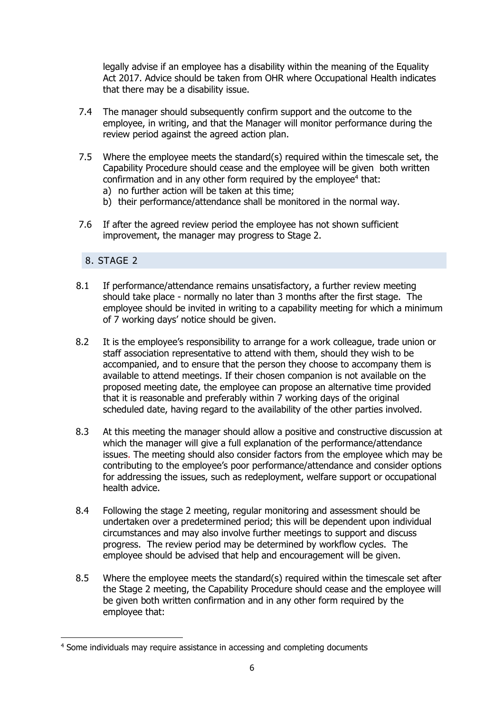legally advise if an employee has a disability within the meaning of the Equality Act 2017. Advice should be taken from OHR where Occupational Health indicates that there may be a disability issue.

- 7.4 The manager should subsequently confirm support and the outcome to the employee, in writing, and that the Manager will monitor performance during the review period against the agreed action plan.
- 7.5 Where the employee meets the standard(s) required within the timescale set, the Capability Procedure should cease and the employee will be given both written confirmation and in any other form required by the employee $4$  that: a) no further action will be taken at this time;
	- b) their performance/attendance shall be monitored in the normal way.
- 7.6 If after the agreed review period the employee has not shown sufficient improvement, the manager may progress to Stage 2.

# <span id="page-5-0"></span>8. STAGE 2

-

- 8.1 If performance/attendance remains unsatisfactory, a further review meeting should take place - normally no later than 3 months after the first stage. The employee should be invited in writing to a capability meeting for which a minimum of 7 working days' notice should be given.
- 8.2 It is the employee's responsibility to arrange for a work colleague, trade union or staff association representative to attend with them, should they wish to be accompanied, and to ensure that the person they choose to accompany them is available to attend meetings. If their chosen companion is not available on the proposed meeting date, the employee can propose an alternative time provided that it is reasonable and preferably within 7 working days of the original scheduled date, having regard to the availability of the other parties involved.
- 8.3 At this meeting the manager should allow a positive and constructive discussion at which the manager will give a full explanation of the performance/attendance issues. The meeting should also consider factors from the employee which may be contributing to the employee's poor performance/attendance and consider options for addressing the issues, such as redeployment, welfare support or occupational health advice.
- 8.4 Following the stage 2 meeting, regular monitoring and assessment should be undertaken over a predetermined period; this will be dependent upon individual circumstances and may also involve further meetings to support and discuss progress. The review period may be determined by workflow cycles. The employee should be advised that help and encouragement will be given.
- 8.5 Where the employee meets the standard(s) required within the timescale set after the Stage 2 meeting, the Capability Procedure should cease and the employee will be given both written confirmation and in any other form required by the employee that:

<sup>4</sup> Some individuals may require assistance in accessing and completing documents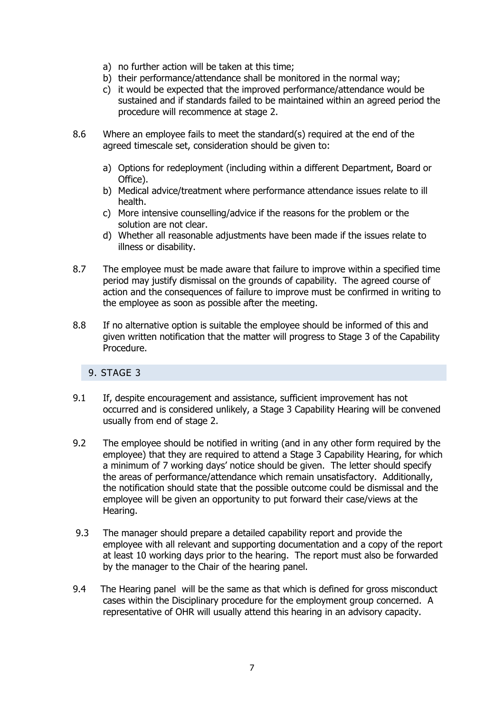- a) no further action will be taken at this time;
- b) their performance/attendance shall be monitored in the normal way;
- c) it would be expected that the improved performance/attendance would be sustained and if standards failed to be maintained within an agreed period the procedure will recommence at stage 2.
- 8.6 Where an employee fails to meet the standard(s) required at the end of the agreed timescale set, consideration should be given to:
	- a) Options for redeployment (including within a different Department, Board or Office).
	- b) Medical advice/treatment where performance attendance issues relate to ill health.
	- c) More intensive counselling/advice if the reasons for the problem or the solution are not clear.
	- d) Whether all reasonable adjustments have been made if the issues relate to illness or disability.
- 8.7 The employee must be made aware that failure to improve within a specified time period may justify dismissal on the grounds of capability. The agreed course of action and the consequences of failure to improve must be confirmed in writing to the employee as soon as possible after the meeting.
- 8.8 If no alternative option is suitable the employee should be informed of this and given written notification that the matter will progress to Stage 3 of the Capability Procedure.

# <span id="page-6-0"></span>9. STAGE 3

- 9.1 If, despite encouragement and assistance, sufficient improvement has not occurred and is considered unlikely, a Stage 3 Capability Hearing will be convened usually from end of stage 2.
- 9.2 The employee should be notified in writing (and in any other form required by the employee) that they are required to attend a Stage 3 Capability Hearing, for which a minimum of 7 working days' notice should be given. The letter should specify the areas of performance/attendance which remain unsatisfactory. Additionally, the notification should state that the possible outcome could be dismissal and the employee will be given an opportunity to put forward their case/views at the Hearing.
- 9.3 The manager should prepare a detailed capability report and provide the employee with all relevant and supporting documentation and a copy of the report at least 10 working days prior to the hearing. The report must also be forwarded by the manager to the Chair of the hearing panel.
- 9.4 The Hearing panel will be the same as that which is defined for gross misconduct cases within the Disciplinary procedure for the employment group concerned. A representative of OHR will usually attend this hearing in an advisory capacity.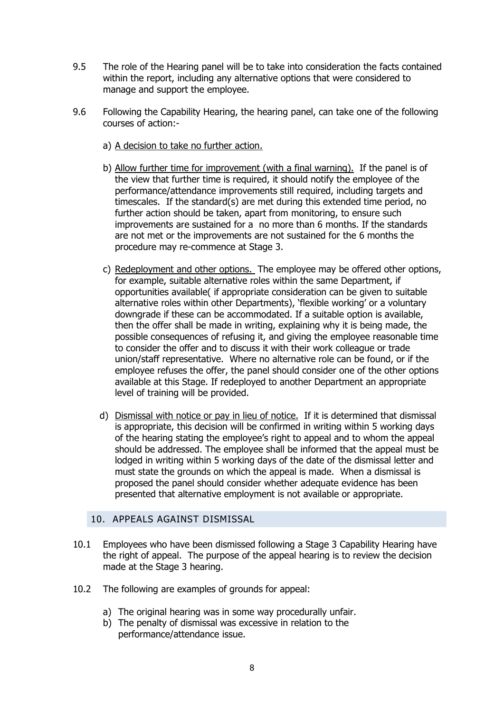- 9.5 The role of the Hearing panel will be to take into consideration the facts contained within the report, including any alternative options that were considered to manage and support the employee.
- 9.6 Following the Capability Hearing, the hearing panel, can take one of the following courses of action:
	- a) A decision to take no further action.
	- b) Allow further time for improvement (with a final warning). If the panel is of the view that further time is required, it should notify the employee of the performance/attendance improvements still required, including targets and timescales. If the standard(s) are met during this extended time period, no further action should be taken, apart from monitoring, to ensure such improvements are sustained for a no more than 6 months. If the standards are not met or the improvements are not sustained for the 6 months the procedure may re-commence at Stage 3.
	- c) Redeployment and other options. The employee may be offered other options, for example, suitable alternative roles within the same Department, if opportunities available( if appropriate consideration can be given to suitable alternative roles within other Departments), 'flexible working' or a voluntary downgrade if these can be accommodated. If a suitable option is available, then the offer shall be made in writing, explaining why it is being made, the possible consequences of refusing it, and giving the employee reasonable time to consider the offer and to discuss it with their work colleague or trade union/staff representative. Where no alternative role can be found, or if the employee refuses the offer, the panel should consider one of the other options available at this Stage. If redeployed to another Department an appropriate level of training will be provided.
	- d) Dismissal with notice or pay in lieu of notice. If it is determined that dismissal is appropriate, this decision will be confirmed in writing within 5 working days of the hearing stating the employee's right to appeal and to whom the appeal should be addressed. The employee shall be informed that the appeal must be lodged in writing within 5 working days of the date of the dismissal letter and must state the grounds on which the appeal is made. When a dismissal is proposed the panel should consider whether adequate evidence has been presented that alternative employment is not available or appropriate.

#### 10. APPEALS AGAINST DISMISSAL

- <span id="page-7-0"></span>10.1 Employees who have been dismissed following a Stage 3 Capability Hearing have the right of appeal. The purpose of the appeal hearing is to review the decision made at the Stage 3 hearing.
- 10.2 The following are examples of grounds for appeal:
	- a) The original hearing was in some way procedurally unfair.
	- b) The penalty of dismissal was excessive in relation to the performance/attendance issue.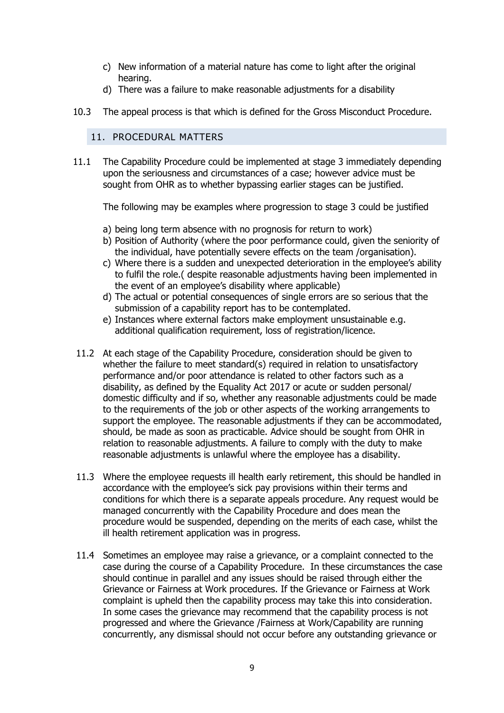- c) New information of a material nature has come to light after the original hearing.
- d) There was a failure to make reasonable adjustments for a disability
- <span id="page-8-0"></span>10.3 The appeal process is that which is defined for the Gross Misconduct Procedure.

# 11. PROCEDURAL MATTERS

11.1 The Capability Procedure could be implemented at stage 3 immediately depending upon the seriousness and circumstances of a case; however advice must be sought from OHR as to whether bypassing earlier stages can be justified.

The following may be examples where progression to stage 3 could be justified

- a) being long term absence with no prognosis for return to work)
- b) Position of Authority (where the poor performance could, given the seniority of the individual, have potentially severe effects on the team /organisation).
- c) Where there is a sudden and unexpected deterioration in the employee's ability to fulfil the role.( despite reasonable adjustments having been implemented in the event of an employee's disability where applicable)
- d) The actual or potential consequences of single errors are so serious that the submission of a capability report has to be contemplated.
- e) Instances where external factors make employment unsustainable e.g. additional qualification requirement, loss of registration/licence.
- 11.2 At each stage of the Capability Procedure, consideration should be given to whether the failure to meet standard(s) required in relation to unsatisfactory performance and/or poor attendance is related to other factors such as a disability, as defined by the Equality Act 2017 or acute or sudden personal/ domestic difficulty and if so, whether any reasonable adjustments could be made to the requirements of the job or other aspects of the working arrangements to support the employee. The reasonable adjustments if they can be accommodated, should, be made as soon as practicable. Advice should be sought from OHR in relation to reasonable adjustments. A failure to comply with the duty to make reasonable adjustments is unlawful where the employee has a disability.
- 11.3 Where the employee requests ill health early retirement, this should be handled in accordance with the employee's sick pay provisions within their terms and conditions for which there is a separate appeals procedure. Any request would be managed concurrently with the Capability Procedure and does mean the procedure would be suspended, depending on the merits of each case, whilst the ill health retirement application was in progress.
- 11.4 Sometimes an employee may raise a grievance, or a complaint connected to the case during the course of a Capability Procedure. In these circumstances the case should continue in parallel and any issues should be raised through either the Grievance or Fairness at Work procedures. If the Grievance or Fairness at Work complaint is upheld then the capability process may take this into consideration. In some cases the grievance may recommend that the capability process is not progressed and where the Grievance /Fairness at Work/Capability are running concurrently, any dismissal should not occur before any outstanding grievance or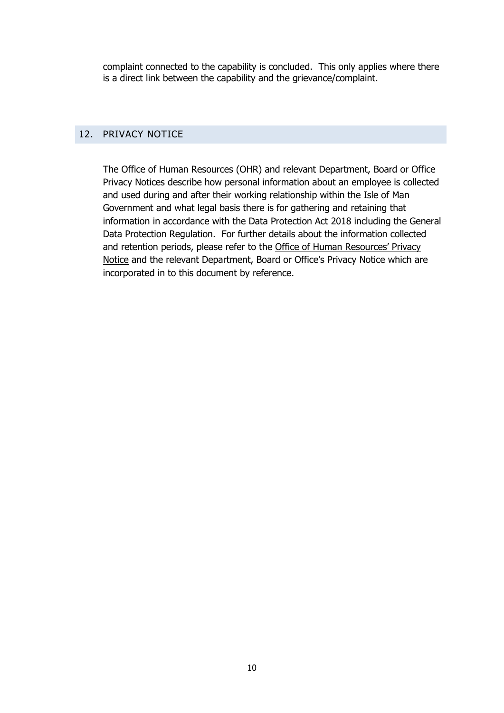complaint connected to the capability is concluded. This only applies where there is a direct link between the capability and the grievance/complaint.

## <span id="page-9-0"></span>12. PRIVACY NOTICE

The Office of Human Resources (OHR) and relevant Department, Board or Office Privacy Notices describe how personal information about an employee is collected and used during and after their working relationship within the Isle of Man Government and what legal basis there is for gathering and retaining that information in accordance with the Data Protection Act 2018 including the General Data Protection Regulation. For further details about the information collected and retention periods, please refer to the [Office of Human Resources' Privacy](https://hr.gov.im/privacy-notice/)  [Notice](https://hr.gov.im/privacy-notice/) and the relevant Department, Board or Office's Privacy Notice which are incorporated in to this document by reference.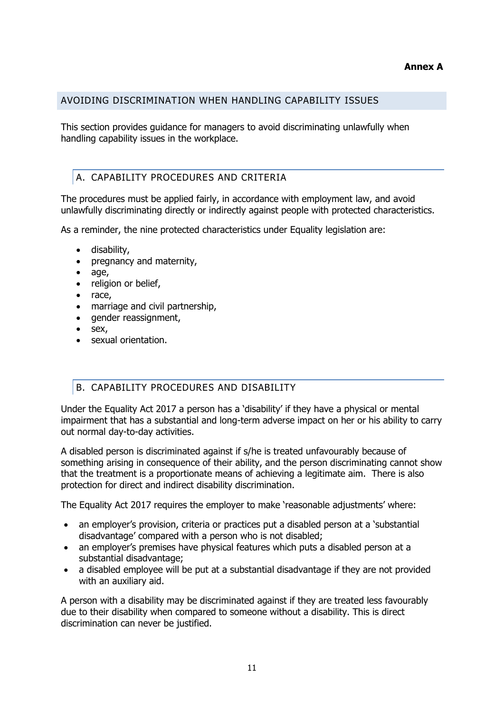## **Annex A**

#### <span id="page-10-0"></span>AVOIDING DISCRIMINATION WHEN HANDLING CAPABILITY ISSUES

This section provides guidance for managers to avoid discriminating unlawfully when handling capability issues in the workplace.

# <span id="page-10-1"></span>A. CAPABILITY PROCEDURES AND CRITERIA

The procedures must be applied fairly, in accordance with employment law, and avoid unlawfully discriminating directly or indirectly against people with protected characteristics.

As a reminder, the nine protected characteristics under Equality legislation are:

- disability,
- pregnancy and maternity,
- age,
- religion or belief,
- race.
- marriage and civil partnership,
- gender reassignment,
- sex,
- sexual orientation.

# <span id="page-10-2"></span>B. CAPABILITY PROCEDURES AND DISABILITY

Under the Equality Act 2017 a person has a 'disability' if they have a physical or mental impairment that has a substantial and long-term adverse impact on her or his ability to carry out normal day-to-day activities.

A disabled person is discriminated against if s/he is treated unfavourably because of something arising in consequence of their ability, and the person discriminating cannot show that the treatment is a proportionate means of achieving a legitimate aim. There is also protection for direct and indirect disability discrimination.

The Equality Act 2017 requires the employer to make 'reasonable adjustments' where:

- an employer's provision, criteria or practices put a disabled person at a 'substantial disadvantage' compared with a person who is not disabled;
- an employer's premises have physical features which puts a disabled person at a substantial disadvantage;
- a disabled employee will be put at a substantial disadvantage if they are not provided with an auxiliary aid.

A person with a disability may be discriminated against if they are treated less favourably due to their disability when compared to someone without a disability. This is direct discrimination can never be justified.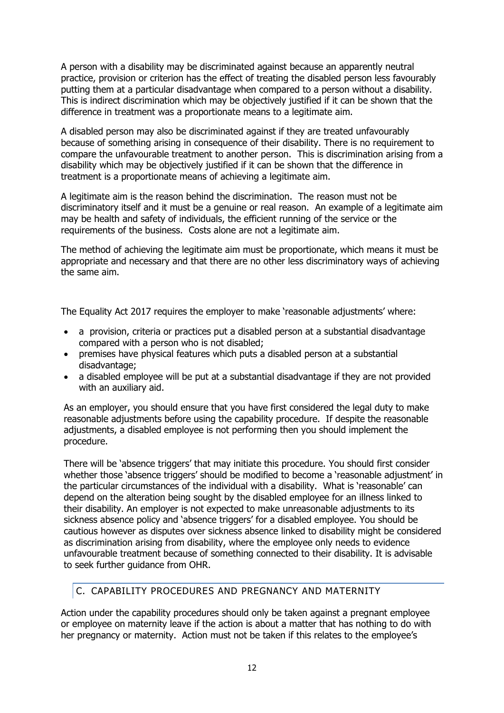A person with a disability may be discriminated against because an apparently neutral practice, provision or criterion has the effect of treating the disabled person less favourably putting them at a particular disadvantage when compared to a person without a disability. This is indirect discrimination which may be objectively justified if it can be shown that the difference in treatment was a proportionate means to a legitimate aim.

A disabled person may also be discriminated against if they are treated unfavourably because of something arising in consequence of their disability. There is no requirement to compare the unfavourable treatment to another person. This is discrimination arising from a disability which may be objectively justified if it can be shown that the difference in treatment is a proportionate means of achieving a legitimate aim.

A legitimate aim is the reason behind the discrimination. The reason must not be discriminatory itself and it must be a genuine or real reason. An example of a legitimate aim may be health and safety of individuals, the efficient running of the service or the requirements of the business. Costs alone are not a legitimate aim.

The method of achieving the legitimate aim must be proportionate, which means it must be appropriate and necessary and that there are no other less discriminatory ways of achieving the same aim.

The Equality Act 2017 requires the employer to make 'reasonable adjustments' where:

- a provision, criteria or practices put a disabled person at a substantial disadvantage compared with a person who is not disabled;
- premises have physical features which puts a disabled person at a substantial disadvantage;
- a disabled employee will be put at a substantial disadvantage if they are not provided with an auxiliary aid.

As an employer, you should ensure that you have first considered the legal duty to make reasonable adjustments before using the capability procedure. If despite the reasonable adjustments, a disabled employee is not performing then you should implement the procedure.

There will be 'absence triggers' that may initiate this procedure. You should first consider whether those 'absence triggers' should be modified to become a 'reasonable adjustment' in the particular circumstances of the individual with a disability. What is 'reasonable' can depend on the alteration being sought by the disabled employee for an illness linked to their disability. An employer is not expected to make unreasonable adjustments to its sickness absence policy and 'absence triggers' for a disabled employee. You should be cautious however as disputes over sickness absence linked to disability might be considered as discrimination arising from disability, where the employee only needs to evidence unfavourable treatment because of something connected to their disability. It is advisable to seek further guidance from OHR.

# <span id="page-11-0"></span>C. CAPABILITY PROCEDURES AND PREGNANCY AND MATERNITY

Action under the capability procedures should only be taken against a pregnant employee or employee on maternity leave if the action is about a matter that has nothing to do with her pregnancy or maternity. Action must not be taken if this relates to the employee's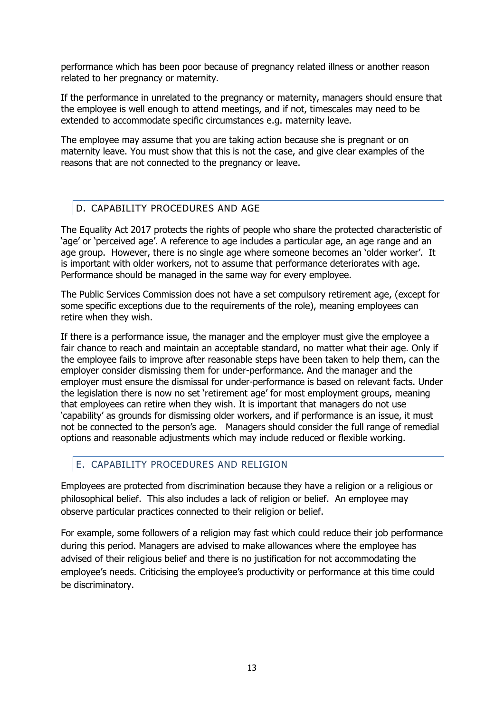performance which has been poor because of pregnancy related illness or another reason related to her pregnancy or maternity.

If the performance in unrelated to the pregnancy or maternity, managers should ensure that the employee is well enough to attend meetings, and if not, timescales may need to be extended to accommodate specific circumstances e.g. maternity leave.

The employee may assume that you are taking action because she is pregnant or on maternity leave. You must show that this is not the case, and give clear examples of the reasons that are not connected to the pregnancy or leave.

# <span id="page-12-0"></span>D. CAPABILITY PROCEDURES AND AGE

The Equality Act 2017 protects the rights of people who share the protected characteristic of 'age' or 'perceived age'. A reference to age includes a particular age, an age range and an age group. However, there is no single age where someone becomes an 'older worker'. It is important with older workers, not to assume that performance deteriorates with age. Performance should be managed in the same way for every employee.

The Public Services Commission does not have a set compulsory retirement age, (except for some specific exceptions due to the requirements of the role), meaning employees can retire when they wish.

If there is a performance issue, the manager and the employer must give the employee a fair chance to reach and maintain an acceptable standard, no matter what their age. Only if the employee fails to improve after reasonable steps have been taken to help them, can the employer consider dismissing them for under-performance. And the manager and the employer must ensure the dismissal for under-performance is based on relevant facts. Under the legislation there is now no set 'retirement age' for most employment groups, meaning that employees can retire when they wish. It is important that managers do not use 'capability' as grounds for dismissing older workers, and if performance is an issue, it must not be connected to the person's age. Managers should consider the full range of remedial options and reasonable adjustments which may include reduced or flexible working.

# <span id="page-12-1"></span>E. CAPABILITY PROCEDURES AND RELIGION

Employees are protected from discrimination because they have a religion or a religious or philosophical belief. This also includes a lack of religion or belief. An employee may observe particular practices connected to their religion or belief.

For example, some followers of a religion may fast which could reduce their job performance during this period. Managers are advised to make allowances where the employee has advised of their religious belief and there is no justification for not accommodating the employee's needs. Criticising the employee's productivity or performance at this time could be discriminatory.